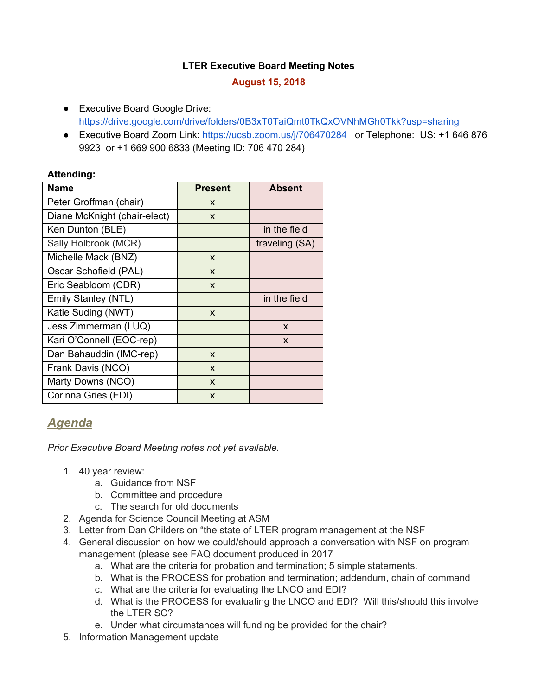## **LTER Executive Board Meeting Notes**

## **August 15, 2018**

- Executive Board Google Drive: <https://drive.google.com/drive/folders/0B3xT0TaiQmt0TkQxOVNhMGh0Tkk?usp=sharing>
- Executive Board Zoom Link: <https://ucsb.zoom.us/j/706470284> or Telephone: US: +1 646 876 9923 or +1 669 900 6833 (Meeting ID: 706 470 284)

#### **Attending:**

| <b>Name</b>                  | <b>Present</b> | <b>Absent</b>  |
|------------------------------|----------------|----------------|
| Peter Groffman (chair)       | X              |                |
| Diane McKnight (chair-elect) | X              |                |
| Ken Dunton (BLE)             |                | in the field   |
| Sally Holbrook (MCR)         |                | traveling (SA) |
| Michelle Mack (BNZ)          | X              |                |
| Oscar Schofield (PAL)        | X              |                |
| Eric Seabloom (CDR)          | X              |                |
| Emily Stanley (NTL)          |                | in the field   |
| Katie Suding (NWT)           | X              |                |
| Jess Zimmerman (LUQ)         |                | X              |
| Kari O'Connell (EOC-rep)     |                | $\mathsf{x}$   |
| Dan Bahauddin (IMC-rep)      | X              |                |
| Frank Davis (NCO)            | X              |                |
| Marty Downs (NCO)            | X              |                |
| Corinna Gries (EDI)          | X              |                |

# *Agenda*

*Prior Executive Board Meeting notes not yet available.*

- 1. 40 year review:
	- a. Guidance from NSF
	- b. Committee and procedure
	- c. The search for old documents
- 2. Agenda for Science Council Meeting at ASM
- 3. Letter from Dan Childers on "the state of LTER program management at the NSF
- 4. General discussion on how we could/should approach a conversation with NSF on program management (please see FAQ document produced in 2017
	- a. What are the criteria for probation and termination; 5 simple statements.
	- b. What is the PROCESS for probation and termination; addendum, chain of command
	- c. What are the criteria for evaluating the LNCO and EDI?
	- d. What is the PROCESS for evaluating the LNCO and EDI? Will this/should this involve the LTER SC?
	- e. Under what circumstances will funding be provided for the chair?
- 5. Information Management update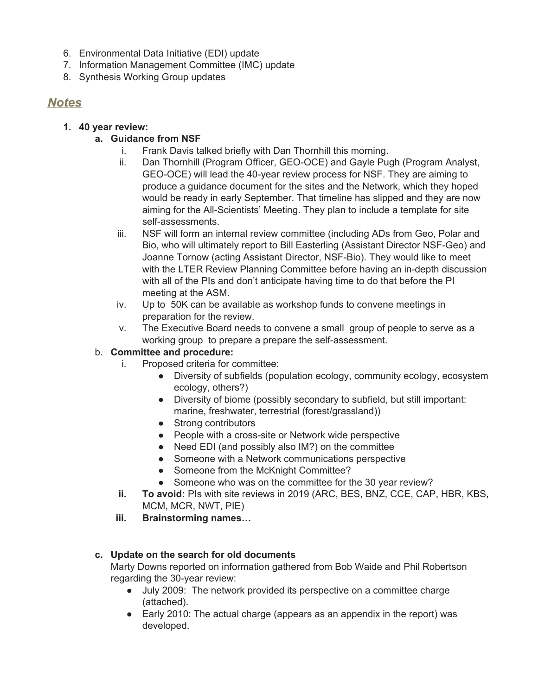- 6. Environmental Data Initiative (EDI) update
- 7. Information Management Committee (IMC) update
- 8. Synthesis Working Group updates

# *Notes*

## **1. 40 year review:**

# **a. Guidance from NSF**

- i. Frank Davis talked briefly with Dan Thornhill this morning.
- ii. Dan Thornhill (Program Officer, GEO-OCE) and Gayle Pugh (Program Analyst, GEO-OCE) will lead the 40-year review process for NSF. They are aiming to produce a guidance document for the sites and the Network, which they hoped would be ready in early September. That timeline has slipped and they are now aiming for the All-Scientists' Meeting. They plan to include a template for site self-assessments.
- iii. NSF will form an internal review committee (including ADs from Geo, Polar and Bio, who will ultimately report to Bill Easterling (Assistant Director NSF-Geo) and Joanne Tornow (acting Assistant Director, NSF-Bio). They would like to meet with the LTER Review Planning Committee before having an in-depth discussion with all of the PIs and don't anticipate having time to do that before the PI meeting at the ASM.
- iv. Up to 50K can be available as workshop funds to convene meetings in preparation for the review.
- v. The Executive Board needs to convene a small group of people to serve as a working group to prepare a prepare the self-assessment.

#### b. **Committee and procedure:**

- i. Proposed criteria for committee:
	- Diversity of subfields (population ecology, community ecology, ecosystem ecology, others?)
	- Diversity of biome (possibly secondary to subfield, but still important: marine, freshwater, terrestrial (forest/grassland))
	- Strong contributors
	- People with a cross-site or Network wide perspective
	- Need EDI (and possibly also IM?) on the committee
	- Someone with a Network communications perspective
	- Someone from the McKnight Committee?
	- Someone who was on the committee for the 30 year review?
- **ii. To avoid:** PIs with site reviews in 2019 (ARC, BES, BNZ, CCE, CAP, HBR, KBS, MCM, MCR, NWT, PIE)
- **iii. Brainstorming names…**

# **c. Update on the search for old documents**

Marty Downs reported on information gathered from Bob Waide and Phil Robertson regarding the 30-year review:

- July 2009: The network provided its perspective on a committee charge (attached).
- Early 2010: The actual charge (appears as an appendix in the report) was developed.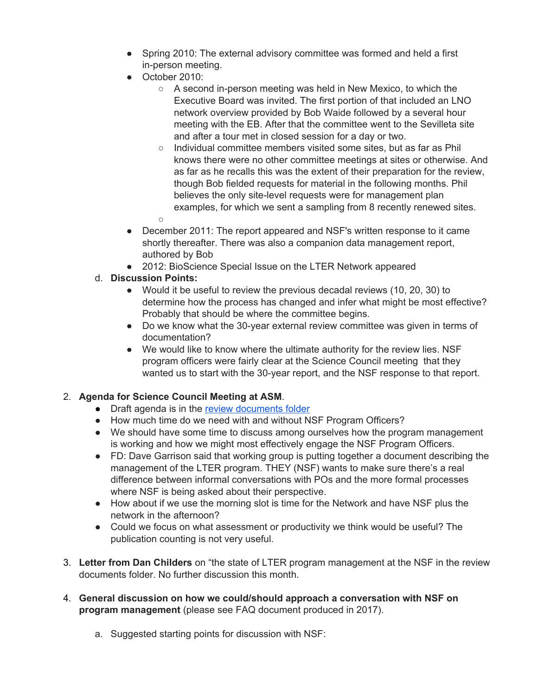- Spring 2010: The external advisory committee was formed and held a first in-person meeting.
- October 2010:
	- A second in-person meeting was held in New Mexico, to which the Executive Board was invited. The first portion of that included an LNO network overview provided by Bob Waide followed by a several hour meeting with the EB. After that the committee went to the Sevilleta site and after a tour met in closed session for a day or two.
	- Individual committee members visited some sites, but as far as Phil knows there were no other committee meetings at sites or otherwise. And as far as he recalls this was the extent of their preparation for the review, though Bob fielded requests for material in the following months. Phil believes the only site-level requests were for management plan examples, for which we sent a sampling from 8 recently renewed sites.  $\bigcirc$
- December 2011: The report appeared and NSF's written response to it came shortly thereafter. There was also a companion data management report, authored by Bob
- 2012: BioScience Special Issue on the LTER Network appeared
- d. **Discussion Points:**
	- Would it be useful to review the previous decadal reviews (10, 20, 30) to determine how the process has changed and infer what might be most effective? Probably that should be where the committee begins.
	- Do we know what the 30-year external review committee was given in terms of documentation?
	- We would like to know where the ultimate authority for the review lies. NSF program officers were fairly clear at the Science Council meeting that they wanted us to start with the 30-year report, and the NSF response to that report.

#### 2. **Agenda for Science Council Meeting at ASM**.

- Draft agenda is in the review [documents](https://drive.google.com/drive/folders/1hPSN29mneIIThBShD_1YLsy8vH-CtdC-?usp=sharing) folder
- How much time do we need with and without NSF Program Officers?
- We should have some time to discuss among ourselves how the program management is working and how we might most effectively engage the NSF Program Officers.
- FD: Dave Garrison said that working group is putting together a document describing the management of the LTER program. THEY (NSF) wants to make sure there's a real difference between informal conversations with POs and the more formal processes where NSF is being asked about their perspective.
- How about if we use the morning slot is time for the Network and have NSF plus the network in the afternoon?
- Could we focus on what assessment or productivity we think would be useful? The publication counting is not very useful.
- 3. **Letter from Dan Childers** on "the state of LTER program management at the NSF in the review documents folder. No further discussion this month.
- 4. **General discussion on how we could/should approach a conversation with NSF on program management** (please see FAQ document produced in 2017).
	- a. Suggested starting points for discussion with NSF: